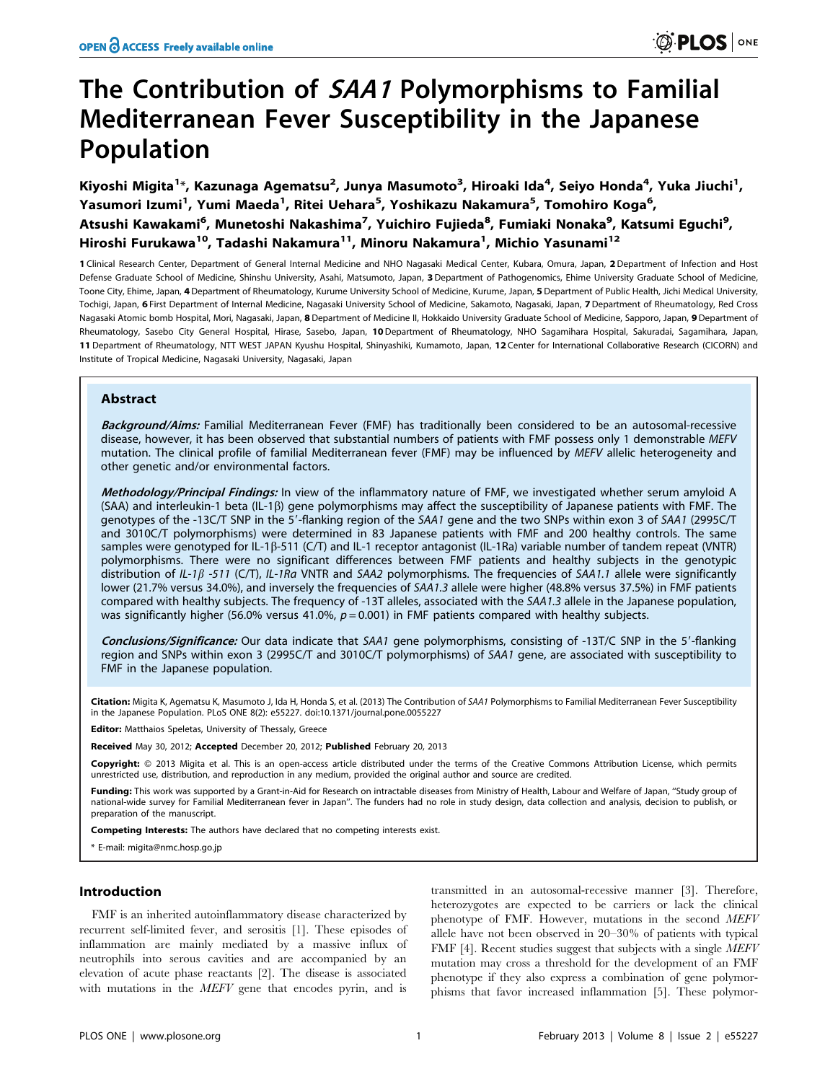# The Contribution of SAA1 Polymorphisms to Familial Mediterranean Fever Susceptibility in the Japanese Population

Kiyoshi Migita<sup>1</sup>\*, Kazunaga Agematsu<sup>2</sup>, Junya Masumoto<sup>3</sup>, Hiroaki Ida<sup>4</sup>, Seiyo Honda<sup>4</sup>, Yuka Jiuchi<sup>1</sup>, Yasumori Izumi<sup>1</sup>, Yumi Maeda<sup>1</sup>, Ritei Uehara<sup>5</sup>, Yoshikazu Nakamura<sup>5</sup>, Tomohiro Koga<sup>6</sup>, Atsushi Kawakami<sup>6</sup>, Munetoshi Nakashima<sup>7</sup>, Yuichiro Fujieda<sup>8</sup>, Fumiaki Nonaka<sup>9</sup>, Katsumi Eguchi<sup>9</sup>, Hiroshi Furukawa<sup>10</sup>, Tadashi Nakamura<sup>11</sup>, Minoru Nakamura<sup>1</sup>, Michio Yasunami<sup>12</sup>

1 Clinical Research Center, Department of General Internal Medicine and NHO Nagasaki Medical Center, Kubara, Omura, Japan, 2 Department of Infection and Host Defense Graduate School of Medicine, Shinshu University, Asahi, Matsumoto, Japan, 3 Department of Pathogenomics, Ehime University Graduate School of Medicine, Toone City, Ehime, Japan, 4 Department of Rheumatology, Kurume University School of Medicine, Kurume, Japan, 5 Department of Public Health, Jichi Medical University, Tochigi, Japan, 6 First Department of Internal Medicine, Nagasaki University School of Medicine, Sakamoto, Nagasaki, Japan, 7 Department of Rheumatology, Red Cross Nagasaki Atomic bomb Hospital, Mori, Nagasaki, Japan, 8 Department of Medicine II, Hokkaido University Graduate School of Medicine, Sapporo, Japan, 9 Department of Rheumatology, Sasebo City General Hospital, Hirase, Sasebo, Japan, 10 Department of Rheumatology, NHO Sagamihara Hospital, Sakuradai, Sagamihara, Japan, 11 Department of Rheumatology, NTT WEST JAPAN Kyushu Hospital, Shinyashiki, Kumamoto, Japan, 12 Center for International Collaborative Research (CICORN) and Institute of Tropical Medicine, Nagasaki University, Nagasaki, Japan

# Abstract

Background/Aims: Familial Mediterranean Fever (FMF) has traditionally been considered to be an autosomal-recessive disease, however, it has been observed that substantial numbers of patients with FMF possess only 1 demonstrable MEFV mutation. The clinical profile of familial Mediterranean fever (FMF) may be influenced by MEFV allelic heterogeneity and other genetic and/or environmental factors.

Methodology/Principal Findings: In view of the inflammatory nature of FMF, we investigated whether serum amyloid A  $(SAA)$  and interleukin-1 beta  $(IL-1\beta)$  gene polymorphisms may affect the susceptibility of Japanese patients with FMF. The genotypes of the -13C/T SNP in the 5'-flanking region of the SAA1 gene and the two SNPs within exon 3 of SAA1 (2995C/T and 3010C/T polymorphisms) were determined in 83 Japanese patients with FMF and 200 healthy controls. The same samples were genotyped for IL-1 $\beta$ -511 (C/T) and IL-1 receptor antagonist (IL-1Ra) variable number of tandem repeat (VNTR) polymorphisms. There were no significant differences between FMF patients and healthy subjects in the genotypic distribution of IL-1 $\beta$  -511 (C/T), IL-1Ra VNTR and SAA2 polymorphisms. The frequencies of SAA1.1 allele were significantly lower (21.7% versus 34.0%), and inversely the frequencies of SAA1.3 allele were higher (48.8% versus 37.5%) in FMF patients compared with healthy subjects. The frequency of -13T alleles, associated with the SAA1.3 allele in the Japanese population, was significantly higher (56.0% versus 41.0%,  $p = 0.001$ ) in FMF patients compared with healthy subjects.

Conclusions/Significance: Our data indicate that SAA1 gene polymorphisms, consisting of -13T/C SNP in the 5'-flanking region and SNPs within exon 3 (2995C/T and 3010C/T polymorphisms) of SAA1 gene, are associated with susceptibility to FMF in the Japanese population.

Citation: Migita K, Agematsu K, Masumoto J, Ida H, Honda S, et al. (2013) The Contribution of SAA1 Polymorphisms to Familial Mediterranean Fever Susceptibility in the Japanese Population. PLoS ONE 8(2): e55227. doi:10.1371/journal.pone.0055227

Editor: Matthaios Speletas, University of Thessaly, Greece

Received May 30, 2012; Accepted December 20, 2012; Published February 20, 2013

Copyright: © 2013 Migita et al. This is an open-access article distributed under the terms of the Creative Commons Attribution License, which permits unrestricted use, distribution, and reproduction in any medium, provided the original author and source are credited.

Funding: This work was supported by a Grant-in-Aid for Research on intractable diseases from Ministry of Health, Labour and Welfare of Japan, "Study group of national-wide survey for Familial Mediterranean fever in Japan''. The funders had no role in study design, data collection and analysis, decision to publish, or preparation of the manuscript.

Competing Interests: The authors have declared that no competing interests exist.

\* E-mail: migita@nmc.hosp.go.jp

# Introduction

FMF is an inherited autoinflammatory disease characterized by recurrent self-limited fever, and serositis [1]. These episodes of inflammation are mainly mediated by a massive influx of neutrophils into serous cavities and are accompanied by an elevation of acute phase reactants [2]. The disease is associated with mutations in the *MEFV* gene that encodes pyrin, and is

transmitted in an autosomal-recessive manner [3]. Therefore, heterozygotes are expected to be carriers or lack the clinical phenotype of FMF. However, mutations in the second MEFV allele have not been observed in 20–30% of patients with typical FMF [4]. Recent studies suggest that subjects with a single MEFV mutation may cross a threshold for the development of an FMF phenotype if they also express a combination of gene polymorphisms that favor increased inflammation [5]. These polymor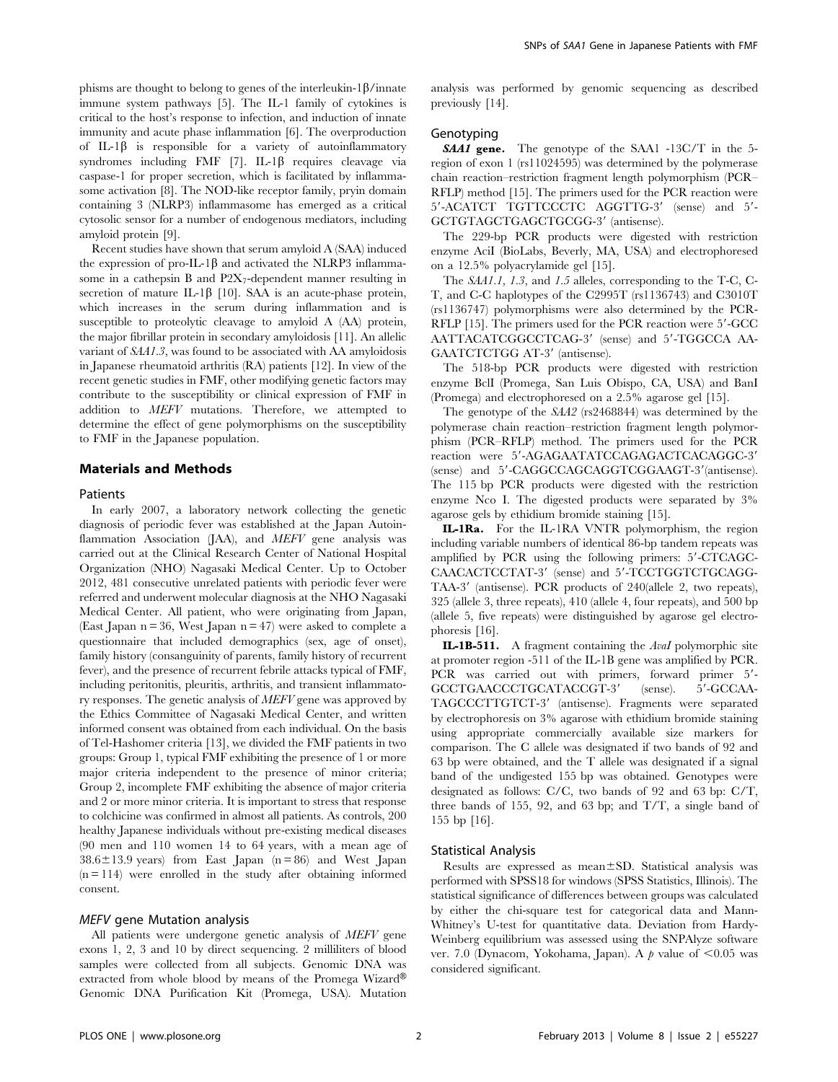phisms are thought to belong to genes of the interleukin-1 $\beta$ /innate immune system pathways [5]. The IL-1 family of cytokines is critical to the host's response to infection, and induction of innate immunity and acute phase inflammation [6]. The overproduction of IL-1 $\beta$  is responsible for a variety of autoinflammatory syndromes including FMF  $[7]$ . IL-1 $\beta$  requires cleavage via caspase-1 for proper secretion, which is facilitated by inflammasome activation [8]. The NOD-like receptor family, pryin domain containing 3 (NLRP3) inflammasome has emerged as a critical cytosolic sensor for a number of endogenous mediators, including amyloid protein [9].

Recent studies have shown that serum amyloid A (SAA) induced the expression of pro-IL-1 $\beta$  and activated the NLRP3 inflammasome in a cathepsin B and  $P2X_7$ -dependent manner resulting in secretion of mature IL-1 $\beta$  [10]. SAA is an acute-phase protein, which increases in the serum during inflammation and is susceptible to proteolytic cleavage to amyloid A (AA) protein, the major fibrillar protein in secondary amyloidosis [11]. An allelic variant of SAA1.3, was found to be associated with AA amyloidosis in Japanese rheumatoid arthritis (RA) patients [12]. In view of the recent genetic studies in FMF, other modifying genetic factors may contribute to the susceptibility or clinical expression of FMF in addition to MEFV mutations. Therefore, we attempted to determine the effect of gene polymorphisms on the susceptibility to FMF in the Japanese population.

# Materials and Methods

### Patients

In early 2007, a laboratory network collecting the genetic diagnosis of periodic fever was established at the Japan Autoinflammation Association (JAA), and *MEFV* gene analysis was carried out at the Clinical Research Center of National Hospital Organization (NHO) Nagasaki Medical Center. Up to October 2012, 481 consecutive unrelated patients with periodic fever were referred and underwent molecular diagnosis at the NHO Nagasaki Medical Center. All patient, who were originating from Japan, (East Japan  $n = 36$ , West Japan  $n = 47$ ) were asked to complete a questionnaire that included demographics (sex, age of onset), family history (consanguinity of parents, family history of recurrent fever), and the presence of recurrent febrile attacks typical of FMF, including peritonitis, pleuritis, arthritis, and transient inflammatory responses. The genetic analysis of MEFV gene was approved by the Ethics Committee of Nagasaki Medical Center, and written informed consent was obtained from each individual. On the basis of Tel-Hashomer criteria [13], we divided the FMF patients in two groups: Group 1, typical FMF exhibiting the presence of 1 or more major criteria independent to the presence of minor criteria; Group 2, incomplete FMF exhibiting the absence of major criteria and 2 or more minor criteria. It is important to stress that response to colchicine was confirmed in almost all patients. As controls, 200 healthy Japanese individuals without pre-existing medical diseases (90 men and 110 women 14 to 64 years, with a mean age of  $38.6 \pm 13.9$  years) from East Japan (n = 86) and West Japan  $(n = 114)$  were enrolled in the study after obtaining informed consent.

## MEFV gene Mutation analysis

All patients were undergone genetic analysis of MEFV gene exons 1, 2, 3 and 10 by direct sequencing. 2 milliliters of blood samples were collected from all subjects. Genomic DNA was extracted from whole blood by means of the Promega Wizard® Genomic DNA Purification Kit (Promega, USA). Mutation analysis was performed by genomic sequencing as described previously [14].

# Genotyping

**SAA1 gene.** The genotype of the SAA1 -13C/T in the 5region of exon 1 (rs11024595) was determined by the polymerase chain reaction–restriction fragment length polymorphism (PCR– RFLP) method [15]. The primers used for the PCR reaction were 5'-ACATCT TGTTCCCTC AGGTTG-3' (sense) and 5'-GCTGTAGCTGAGCTGCGG-3' (antisense).

The 229-bp PCR products were digested with restriction enzyme AciI (BioLabs, Beverly, MA, USA) and electrophoresed on a 12.5% polyacrylamide gel [15].

The SAA1.1, 1.3, and 1.5 alleles, corresponding to the T-C, C-T, and C-C haplotypes of the C2995T (rs1136743) and C3010T (rs1136747) polymorphisms were also determined by the PCR-RFLP  $[15]$ . The primers used for the PCR reaction were  $5'$ -GCC AATTACATCGGCCTCAG-3' (sense) and 5'-TGGCCA AA-GAATCTCTGG AT-3' (antisense).

The 518-bp PCR products were digested with restriction enzyme BclI (Promega, San Luis Obispo, CA, USA) and BanI (Promega) and electrophoresed on a 2.5% agarose gel [15].

The genotype of the SAA2 (rs2468844) was determined by the polymerase chain reaction–restriction fragment length polymorphism (PCR–RFLP) method. The primers used for the PCR  $\,$ reaction were 5'-AGAGAATATCCAGAGACTCACAGGC-3' (sense) and 5'-CAGGCCAGCAGGTCGGAAGT-3'(antisense). The 115 bp PCR products were digested with the restriction enzyme Nco I. The digested products were separated by 3% agarose gels by ethidium bromide staining [15].

IL-1Ra. For the IL-1RA VNTR polymorphism, the region including variable numbers of identical 86-bp tandem repeats was amplified by PCR using the following primers:  $5'$ -CTCAGC-CAACACTCCTAT-3' (sense) and 5'-TCCTGGTCTGCAGG-TAA-3' (antisense). PCR products of 240(allele 2, two repeats), 325 (allele 3, three repeats), 410 (allele 4, four repeats), and 500 bp (allele 5, five repeats) were distinguished by agarose gel electrophoresis [16].

IL-1B-511. A fragment containing the AvaI polymorphic site at promoter region -511 of the IL-1B gene was amplified by PCR. PCR was carried out with primers, forward primer 5'-GCCTGAACCCTGCATACCGT-3' (sense). 5'-GCCAA-TAGCCCTTGTCT-3' (antisense). Fragments were separated by electrophoresis on 3% agarose with ethidium bromide staining using appropriate commercially available size markers for comparison. The C allele was designated if two bands of 92 and 63 bp were obtained, and the T allele was designated if a signal band of the undigested 155 bp was obtained. Genotypes were designated as follows: C/C, two bands of 92 and 63 bp: C/T, three bands of 155, 92, and 63 bp; and T/T, a single band of 155 bp [16].

#### Statistical Analysis

Results are expressed as mean $\pm$ SD. Statistical analysis was performed with SPSS18 for windows (SPSS Statistics, Illinois). The statistical significance of differences between groups was calculated by either the chi-square test for categorical data and Mann-Whitney's U-test for quantitative data. Deviation from Hardy-Weinberg equilibrium was assessed using the SNPAlyze software ver. 7.0 (Dynacom, Yokohama, Japan). A  $p$  value of <0.05 was considered significant.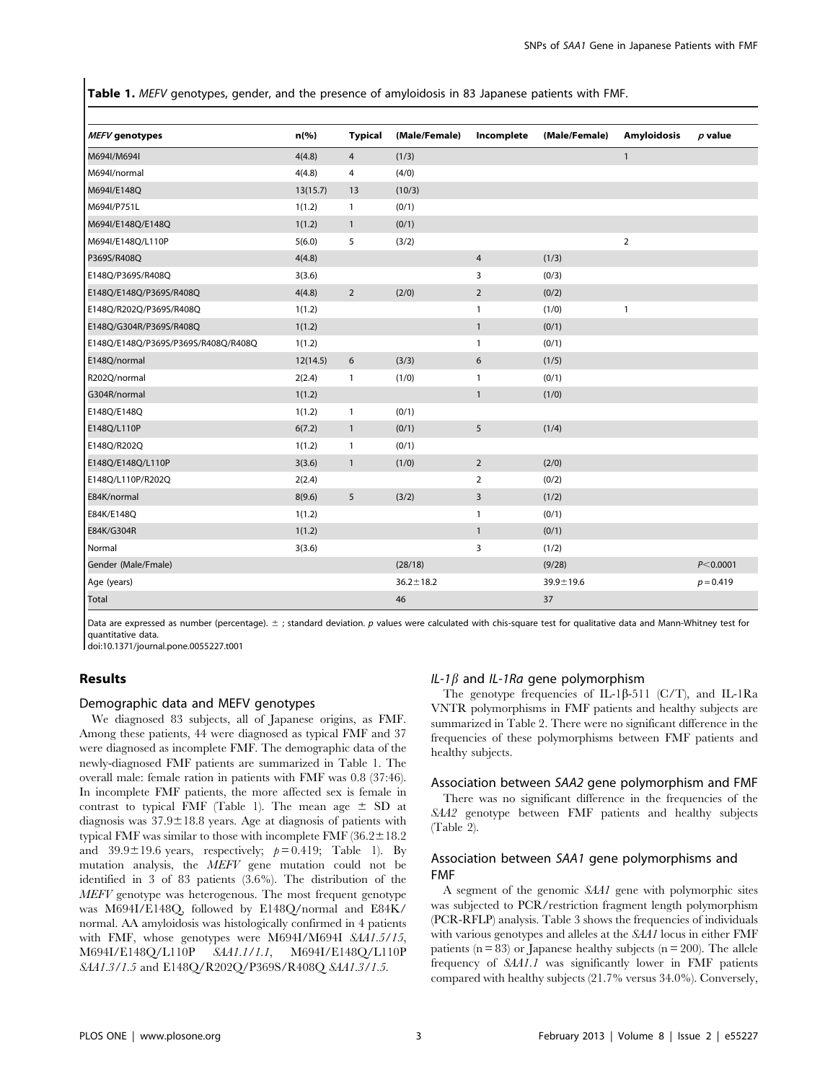Table 1. MEFV genotypes, gender, and the presence of amyloidosis in 83 Japanese patients with FMF.

| MEFV genotypes                      | $n$ (%)  | <b>Typical</b> | (Male/Female)   | Incomplete     | (Male/Female)   | <b>Amyloidosis</b> | $p$ value   |
|-------------------------------------|----------|----------------|-----------------|----------------|-----------------|--------------------|-------------|
| M694l/M694l                         | 4(4.8)   | $\overline{4}$ | (1/3)           |                |                 | $\mathbf{1}$       |             |
| M694l/normal                        | 4(4.8)   | 4              | (4/0)           |                |                 |                    |             |
| M694l/E148Q                         | 13(15.7) | 13             | (10/3)          |                |                 |                    |             |
| M694l/P751L                         | 1(1.2)   | $\mathbf{1}$   | (0/1)           |                |                 |                    |             |
| M694l/E148Q/E148Q                   | 1(1.2)   | $\mathbf{1}$   | (0/1)           |                |                 |                    |             |
| M694l/E148Q/L110P                   | 5(6.0)   | 5              | (3/2)           |                |                 | $\overline{2}$     |             |
| P369S/R408Q                         | 4(4.8)   |                |                 | $\overline{4}$ | (1/3)           |                    |             |
| E148Q/P369S/R408Q                   | 3(3.6)   |                |                 | 3              | (0/3)           |                    |             |
| E148Q/E148Q/P369S/R408Q             | 4(4.8)   | $\overline{2}$ | (2/0)           | $\overline{2}$ | (0/2)           |                    |             |
| E148Q/R202Q/P369S/R408Q             | 1(1.2)   |                |                 | $\mathbf{1}$   | (1/0)           | 1                  |             |
| E148Q/G304R/P369S/R408Q             | 1(1.2)   |                |                 | $\mathbf{1}$   | (0/1)           |                    |             |
| E148Q/E148Q/P369S/P369S/R408Q/R408Q | 1(1.2)   |                |                 | $\mathbf{1}$   | (0/1)           |                    |             |
| E148Q/normal                        | 12(14.5) | 6              | (3/3)           | 6              | (1/5)           |                    |             |
| R202Q/normal                        | 2(2.4)   | $\mathbf{1}$   | (1/0)           | $\mathbf{1}$   | (0/1)           |                    |             |
| G304R/normal                        | 1(1.2)   |                |                 | $\mathbf{1}$   | (1/0)           |                    |             |
| E148Q/E148Q                         | 1(1.2)   | $\mathbf{1}$   | (0/1)           |                |                 |                    |             |
| E148Q/L110P                         | 6(7.2)   | $\mathbf{1}$   | (0/1)           | 5              | (1/4)           |                    |             |
| E148Q/R202Q                         | 1(1.2)   | $\mathbf{1}$   | (0/1)           |                |                 |                    |             |
| E148Q/E148Q/L110P                   | 3(3.6)   | $\mathbf{1}$   | (1/0)           | $\overline{2}$ | (2/0)           |                    |             |
| E148Q/L110P/R202Q                   | 2(2.4)   |                |                 | $\overline{2}$ | (0/2)           |                    |             |
| E84K/normal                         | 8(9.6)   | 5              | (3/2)           | 3              | (1/2)           |                    |             |
| E84K/E148Q                          | 1(1.2)   |                |                 | $\mathbf{1}$   | (0/1)           |                    |             |
| E84K/G304R                          | 1(1.2)   |                |                 | $\mathbf{1}$   | (0/1)           |                    |             |
| Normal                              | 3(3.6)   |                |                 | 3              | (1/2)           |                    |             |
| Gender (Male/Fmale)                 |          |                | (28/18)         |                | (9/28)          |                    | P < 0.0001  |
| Age (years)                         |          |                | $36.2 \pm 18.2$ |                | $39.9 \pm 19.6$ |                    | $p = 0.419$ |
| Total                               |          |                | 46              |                | 37              |                    |             |
|                                     |          |                |                 |                |                 |                    |             |

Data are expressed as number (percentage).  $\pm$ ; standard deviation. p values were calculated with chis-square test for qualitative data and Mann-Whitney test for quantitative data.

doi:10.1371/journal.pone.0055227.t001

# Results

# Demographic data and MEFV genotypes

We diagnosed 83 subjects, all of Japanese origins, as FMF. Among these patients, 44 were diagnosed as typical FMF and 37 were diagnosed as incomplete FMF. The demographic data of the newly-diagnosed FMF patients are summarized in Table 1. The overall male: female ration in patients with FMF was 0.8 (37:46). In incomplete FMF patients, the more affected sex is female in contrast to typical FMF (Table 1). The mean age  $\pm$  SD at diagnosis was  $37.9 \pm 18.8$  years. Age at diagnosis of patients with typical FMF was similar to those with incomplete FMF (36.2 $\pm$ 18.2) and 39.9 $\pm$ 19.6 years, respectively;  $p = 0.419$ ; Table 1). By mutation analysis, the MEFV gene mutation could not be identified in 3 of 83 patients (3.6%). The distribution of the MEFV genotype was heterogenous. The most frequent genotype was M694I/E148Q, followed by E148Q/normal and E84K/ normal. AA amyloidosis was histologically confirmed in 4 patients with FMF, whose genotypes were M694I/M694I SAA1.5/15, M694I/E148Q/L110P SAA1.1/1.1, M694I/E148Q/L110P SAA1.3/1.5 and E148Q/R202Q/P369S/R408Q SAA1.3/1.5.

# IL-1 $\beta$  and IL-1Ra gene polymorphism

The genotype frequencies of IL-1 $\beta$ -511 (C/T), and IL-1Ra VNTR polymorphisms in FMF patients and healthy subjects are summarized in Table 2. There were no significant difference in the frequencies of these polymorphisms between FMF patients and healthy subjects.

## Association between SAA2 gene polymorphism and FMF

There was no significant difference in the frequencies of the SAA2 genotype between FMF patients and healthy subjects (Table 2).

## Association between SAA1 gene polymorphisms and FMF

A segment of the genomic SAA1 gene with polymorphic sites was subjected to PCR/restriction fragment length polymorphism (PCR-RFLP) analysis. Table 3 shows the frequencies of individuals with various genotypes and alleles at the SAA1 locus in either FMF patients ( $n = 83$ ) or Japanese healthy subjects ( $n = 200$ ). The allele frequency of SAA1.1 was significantly lower in FMF patients compared with healthy subjects (21.7% versus 34.0%). Conversely,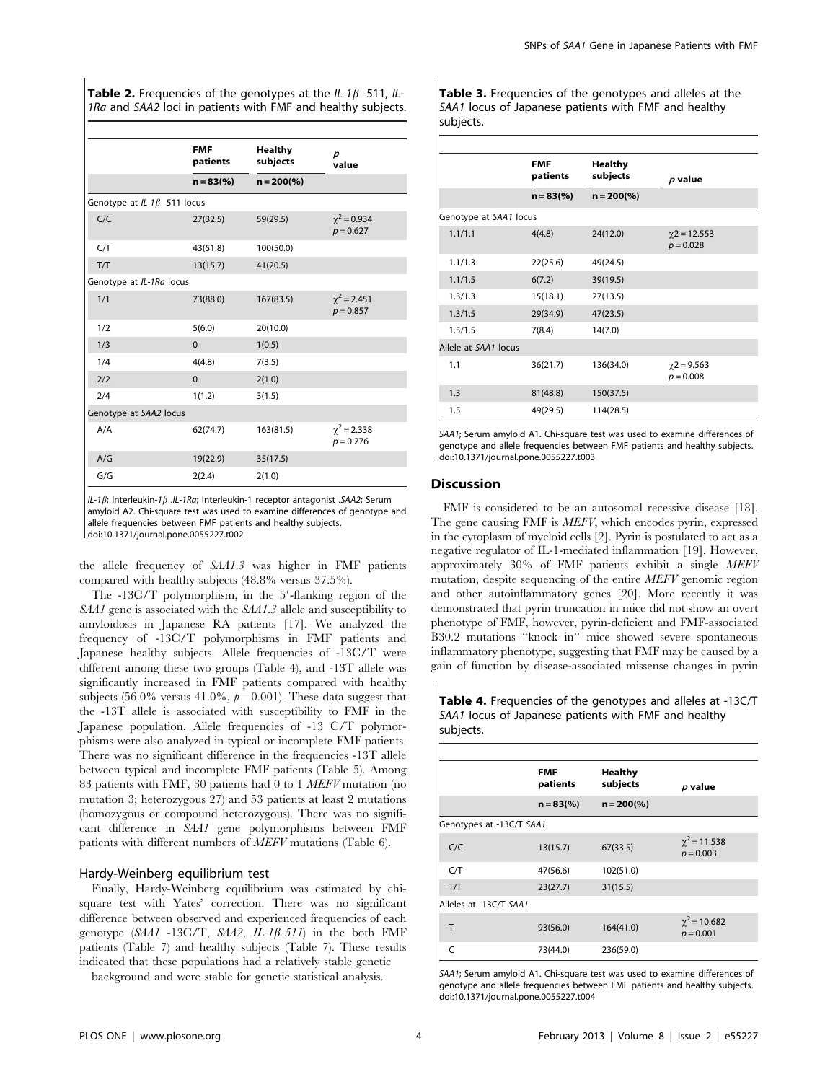|                                    | <b>FMF</b><br>patients | <b>Healthy</b><br>subjects | p<br>value                        |
|------------------------------------|------------------------|----------------------------|-----------------------------------|
|                                    | $n = 83(%)$            | $n = 200\frac{6}{6}$       |                                   |
| Genotype at $IL-1\beta$ -511 locus |                        |                            |                                   |
| C/C                                | 27(32.5)               | 59(29.5)                   | $\chi^2$ = 0.934<br>$p = 0.627$   |
| C/T                                | 43(51.8)               | 100(50.0)                  |                                   |
| T/T                                | 13(15.7)               | 41(20.5)                   |                                   |
| Genotype at IL-1Ra locus           |                        |                            |                                   |
| 1/1                                | 73(88.0)               | 167(83.5)                  | $\chi^2$ = 2.451<br>$p = 0.857$   |
| 1/2                                | 5(6.0)                 | 20(10.0)                   |                                   |
| 1/3                                | $\Omega$               | 1(0.5)                     |                                   |
| 1/4                                | 4(4.8)                 | 7(3.5)                     |                                   |
| 2/2                                | $\Omega$               | 2(1.0)                     |                                   |
| 2/4                                | 1(1.2)                 | 3(1.5)                     |                                   |
| Genotype at SAA2 locus             |                        |                            |                                   |
| A/A                                | 62(74.7)               | 163(81.5)                  | $\gamma^2$ = 2.338<br>$p = 0.276$ |
| A/G                                | 19(22.9)               | 35(17.5)                   |                                   |
| G/G                                | 2(2.4)                 | 2(1.0)                     |                                   |

IL-1 $\beta$ ; Interleukin-1 $\beta$  .IL-1Ra; Interleukin-1 receptor antagonist .SAA2; Serum amyloid A2. Chi-square test was used to examine differences of genotype and allele frequencies between FMF patients and healthy subjects. doi:10.1371/journal.pone.0055227.t002

the allele frequency of SAA1.3 was higher in FMF patients compared with healthy subjects (48.8% versus 37.5%).

The  $-13C/T$  polymorphism, in the 5'-flanking region of the SAA1 gene is associated with the SAA1.3 allele and susceptibility to amyloidosis in Japanese RA patients [17]. We analyzed the frequency of -13C/T polymorphisms in FMF patients and Japanese healthy subjects. Allele frequencies of -13C/T were different among these two groups (Table 4), and -13T allele was significantly increased in FMF patients compared with healthy subjects (56.0% versus 41.0%,  $p = 0.001$ ). These data suggest that the -13T allele is associated with susceptibility to FMF in the Japanese population. Allele frequencies of -13 C/T polymorphisms were also analyzed in typical or incomplete FMF patients. There was no significant difference in the frequencies -13T allele between typical and incomplete FMF patients (Table 5). Among 83 patients with FMF, 30 patients had 0 to 1 MEFV mutation (no mutation 3; heterozygous 27) and 53 patients at least 2 mutations (homozygous or compound heterozygous). There was no significant difference in SAA1 gene polymorphisms between FMF patients with different numbers of MEFV mutations (Table 6).

# Hardy-Weinberg equilibrium test

Finally, Hardy-Weinberg equilibrium was estimated by chisquare test with Yates' correction. There was no significant difference between observed and experienced frequencies of each genotype  $(SAA1 - 13C/T, SAA2, IL-1\beta-511)$  in the both FMF patients (Table 7) and healthy subjects (Table 7). These results indicated that these populations had a relatively stable genetic

background and were stable for genetic statistical analysis.

Table 3. Frequencies of the genotypes and alleles at the SAA1 locus of Japanese patients with FMF and healthy subjects.

|                        | <b>FMF</b><br>patients | <b>Healthy</b><br>subjects | $p$ value                          |
|------------------------|------------------------|----------------------------|------------------------------------|
|                        | $n = 83$ (%)           | $n = 200\frac{6}{6}$       |                                    |
| Genotype at SAA1 locus |                        |                            |                                    |
| 1.1/1.1                | 4(4.8)                 | 24(12.0)                   | $\gamma$ 2 = 12.553<br>$p = 0.028$ |
| 1.1/1.3                | 22(25.6)               | 49(24.5)                   |                                    |
| 1.1/1.5                | 6(7.2)                 | 39(19.5)                   |                                    |
| 1.3/1.3                | 15(18.1)               | 27(13.5)                   |                                    |
| 1.3/1.5                | 29(34.9)               | 47(23.5)                   |                                    |
| 1.5/1.5                | 7(8.4)                 | 14(7.0)                    |                                    |
| Allele at SAA1 locus   |                        |                            |                                    |
| 1.1                    | 36(21.7)               | 136(34.0)                  | $\gamma$ 2 = 9.563<br>$p = 0.008$  |
| 1.3                    | 81(48.8)               | 150(37.5)                  |                                    |
| 1.5                    | 49(29.5)               | 114(28.5)                  |                                    |

SAA1; Serum amyloid A1. Chi-square test was used to examine differences of genotype and allele frequencies between FMF patients and healthy subjects. doi:10.1371/journal.pone.0055227.t003

## Discussion

FMF is considered to be an autosomal recessive disease [18]. The gene causing FMF is *MEFV*, which encodes pyrin, expressed in the cytoplasm of myeloid cells [2]. Pyrin is postulated to act as a negative regulator of IL-1-mediated inflammation [19]. However, approximately 30% of FMF patients exhibit a single MEFV mutation, despite sequencing of the entire MEFV genomic region and other autoinflammatory genes [20]. More recently it was demonstrated that pyrin truncation in mice did not show an overt phenotype of FMF, however, pyrin-deficient and FMF-associated B30.2 mutations ''knock in'' mice showed severe spontaneous inflammatory phenotype, suggesting that FMF may be caused by a gain of function by disease-associated missense changes in pyrin

Table 4. Frequencies of the genotypes and alleles at -13C/T SAA1 locus of Japanese patients with FMF and healthy subjects.

|                          | <b>FMF</b><br>patients | Healthy<br>subjects  | $p$ value                        |
|--------------------------|------------------------|----------------------|----------------------------------|
|                          | $n = 83(%)$            | $n = 200\frac{6}{6}$ |                                  |
| Genotypes at -13C/T SAA1 |                        |                      |                                  |
| C/C                      | 13(15.7)               | 67(33.5)             | $\chi^2$ = 11.538<br>$p = 0.003$ |
| C/T                      | 47(56.6)               | 102(51.0)            |                                  |
| T/T                      | 23(27.7)               | 31(15.5)             |                                  |
| Alleles at -13C/T SAA1   |                        |                      |                                  |
| T                        | 93(56.0)               | 164(41.0)            | $\chi^2$ = 10.682<br>$p = 0.001$ |
| $\epsilon$               | 73(44.0)               | 236(59.0)            |                                  |

SAA1; Serum amyloid A1. Chi-square test was used to examine differences of genotype and allele frequencies between FMF patients and healthy subjects. doi:10.1371/journal.pone.0055227.t004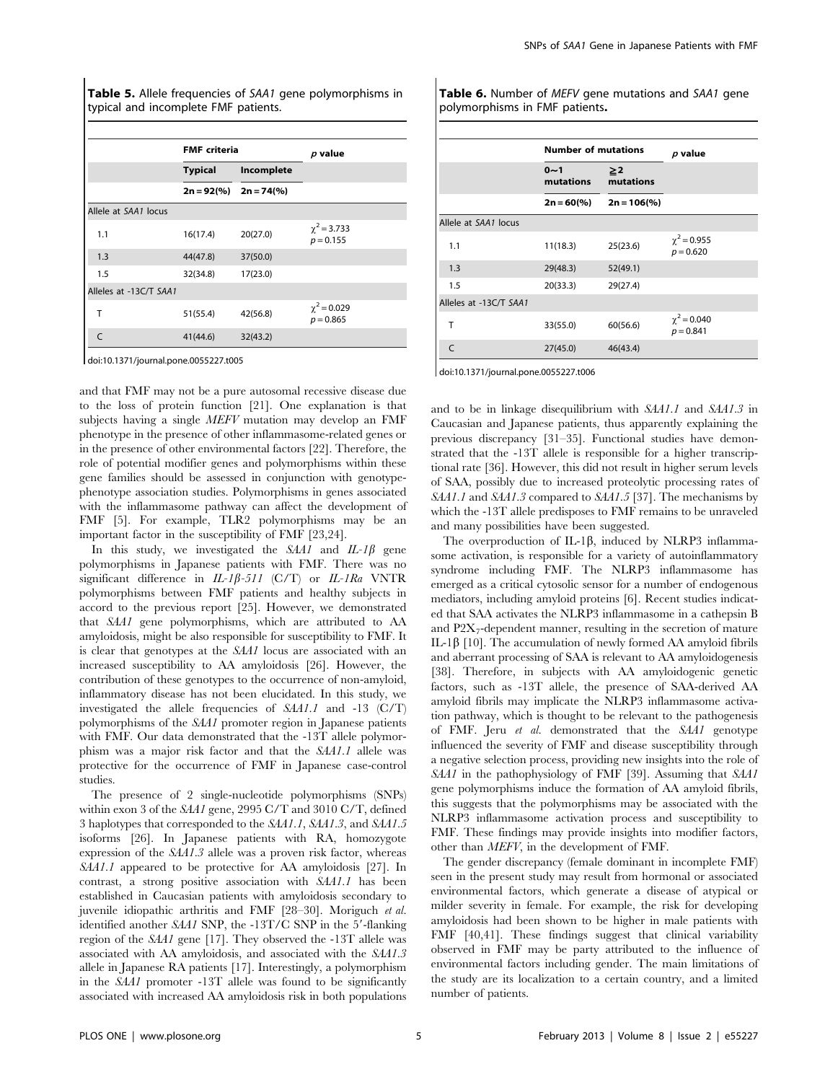Table 5. Allele frequencies of SAA1 gene polymorphisms in typical and incomplete FMF patients.

|                        | <b>FMF</b> criteria |                                            | $p$ value                       |  |  |
|------------------------|---------------------|--------------------------------------------|---------------------------------|--|--|
|                        | <b>Typical</b>      | Incomplete                                 |                                 |  |  |
|                        |                     | $2n = 92\frac{9}{6}$ 2n = 74 $\frac{9}{6}$ |                                 |  |  |
| Allele at SAA1 locus   |                     |                                            |                                 |  |  |
| 1.1                    | 16(17.4)            | 20(27.0)                                   | $\chi^2$ = 3.733<br>$p = 0.155$ |  |  |
| 1.3                    | 44(47.8)            | 37(50.0)                                   |                                 |  |  |
| 1.5                    | 32(34.8)            | 17(23.0)                                   |                                 |  |  |
| Alleles at -13C/T SAA1 |                     |                                            |                                 |  |  |
| Т                      | 51(55.4)            | 42(56.8)                                   | $\chi^2$ = 0.029<br>$p = 0.865$ |  |  |
| $\mathsf{C}$           | 41(44.6)            | 32(43.2)                                   |                                 |  |  |

doi:10.1371/journal.pone.0055227.t005

and that FMF may not be a pure autosomal recessive disease due to the loss of protein function [21]. One explanation is that subjects having a single MEFV mutation may develop an FMF phenotype in the presence of other inflammasome-related genes or in the presence of other environmental factors [22]. Therefore, the role of potential modifier genes and polymorphisms within these gene families should be assessed in conjunction with genotypephenotype association studies. Polymorphisms in genes associated with the inflammasome pathway can affect the development of FMF [5]. For example, TLR2 polymorphisms may be an important factor in the susceptibility of FMF [23,24].

In this study, we investigated the  $S<sub>4</sub>A1$  and  $IL-I\beta$  gene polymorphisms in Japanese patients with FMF. There was no significant difference in  $IL-I\beta-511$  (C/T) or  $IL-IRa$  VNTR polymorphisms between FMF patients and healthy subjects in accord to the previous report [25]. However, we demonstrated that SAA1 gene polymorphisms, which are attributed to AA amyloidosis, might be also responsible for susceptibility to FMF. It is clear that genotypes at the SAA1 locus are associated with an increased susceptibility to AA amyloidosis [26]. However, the contribution of these genotypes to the occurrence of non-amyloid, inflammatory disease has not been elucidated. In this study, we investigated the allele frequencies of SAA1.1 and -13 (C/T) polymorphisms of the SAA1 promoter region in Japanese patients with FMF. Our data demonstrated that the -13T allele polymorphism was a major risk factor and that the SAA1.1 allele was protective for the occurrence of FMF in Japanese case-control studies.

The presence of 2 single-nucleotide polymorphisms (SNPs) within exon 3 of the SAA1 gene, 2995 C/T and 3010 C/T, defined 3 haplotypes that corresponded to the SAA1.1, SAA1.3, and SAA1.5 isoforms [26]. In Japanese patients with RA, homozygote expression of the SAA1.3 allele was a proven risk factor, whereas SAA1.1 appeared to be protective for AA amyloidosis [27]. In contrast, a strong positive association with SAA1.1 has been established in Caucasian patients with amyloidosis secondary to juvenile idiopathic arthritis and FMF [28–30]. Moriguch et al. identified another SAA1 SNP, the -13T/C SNP in the  $5'$ -flanking region of the SAA1 gene [17]. They observed the -13T allele was associated with AA amyloidosis, and associated with the SAA1.3 allele in Japanese RA patients [17]. Interestingly, a polymorphism in the SAA1 promoter -13T allele was found to be significantly associated with increased AA amyloidosis risk in both populations

Table 6. Number of MEFV gene mutations and SAA1 gene polymorphisms in FMF patients.

|                        | <b>Number of mutations</b> | $p$ value       |                                   |
|------------------------|----------------------------|-----------------|-----------------------------------|
|                        | $0 - 1$<br>mutations       | ≥2<br>mutations |                                   |
|                        | $2n = 60\%$                | $2n = 106$ (%)  |                                   |
| Allele at SAA1 locus   |                            |                 |                                   |
| 1.1                    | 11(18.3)                   | 25(23.6)        | $\gamma^2$ = 0.955<br>$p = 0.620$ |
| 1.3                    | 29(48.3)                   | 52(49.1)        |                                   |
| 1.5                    | 20(33.3)                   | 29(27.4)        |                                   |
| Alleles at -13C/T SAA1 |                            |                 |                                   |
| т                      | 33(55.0)                   | 60(56.6)        | $\chi^2$ = 0.040<br>$p = 0.841$   |
| $\mathsf{C}$           | 27(45.0)                   | 46(43.4)        |                                   |

doi:10.1371/journal.pone.0055227.t006

and to be in linkage disequilibrium with SAA1.1 and SAA1.3 in Caucasian and Japanese patients, thus apparently explaining the previous discrepancy [31–35]. Functional studies have demonstrated that the -13T allele is responsible for a higher transcriptional rate [36]. However, this did not result in higher serum levels of SAA, possibly due to increased proteolytic processing rates of SAA1.1 and SAA1.3 compared to SAA1.5 [37]. The mechanisms by which the -13T allele predisposes to FMF remains to be unraveled and many possibilities have been suggested.

The overproduction of IL-1 $\beta$ , induced by NLRP3 inflammasome activation, is responsible for a variety of autoinflammatory syndrome including FMF. The NLRP3 inflammasome has emerged as a critical cytosolic sensor for a number of endogenous mediators, including amyloid proteins [6]. Recent studies indicated that SAA activates the NLRP3 inflammasome in a cathepsin B and  $P2X_7$ -dependent manner, resulting in the secretion of mature IL-1 $\beta$  [10]. The accumulation of newly formed AA amyloid fibrils and aberrant processing of SAA is relevant to AA amyloidogenesis [38]. Therefore, in subjects with AA amyloidogenic genetic factors, such as -13T allele, the presence of SAA-derived AA amyloid fibrils may implicate the NLRP3 inflammasome activation pathway, which is thought to be relevant to the pathogenesis of FMF. Jeru et al. demonstrated that the SAA1 genotype influenced the severity of FMF and disease susceptibility through a negative selection process, providing new insights into the role of SAA1 in the pathophysiology of FMF [39]. Assuming that SAA1 gene polymorphisms induce the formation of AA amyloid fibrils, this suggests that the polymorphisms may be associated with the NLRP3 inflammasome activation process and susceptibility to FMF. These findings may provide insights into modifier factors, other than MEFV, in the development of FMF.

The gender discrepancy (female dominant in incomplete FMF) seen in the present study may result from hormonal or associated environmental factors, which generate a disease of atypical or milder severity in female. For example, the risk for developing amyloidosis had been shown to be higher in male patients with FMF [40,41]. These findings suggest that clinical variability observed in FMF may be party attributed to the influence of environmental factors including gender. The main limitations of the study are its localization to a certain country, and a limited number of patients.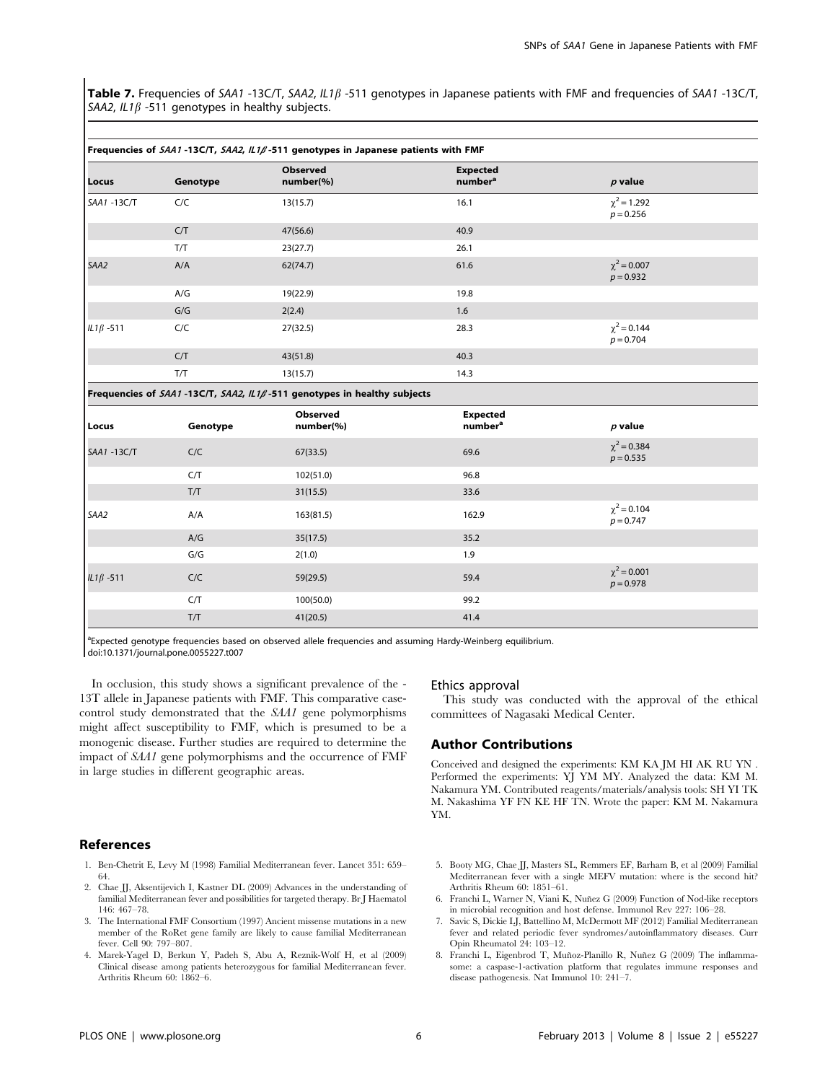Table 7. Frequencies of SAA1 -13C/T, SAA2,  $IL1\beta$  -511 genotypes in Japanese patients with FMF and frequencies of SAA1 -13C/T, SAA2,  $IL1\beta$  -511 genotypes in healthy subjects.

| Locus            | Genotype | Observed<br>number(%) | <b>Expected</b><br>number <sup>a</sup> | $p$ value                       |  |  |
|------------------|----------|-----------------------|----------------------------------------|---------------------------------|--|--|
| SAA1 -13C/T      | C/C      | 13(15.7)              | 16.1                                   | $\chi^2$ = 1.292<br>$p = 0.256$ |  |  |
|                  | C/T      | 47(56.6)              | 40.9                                   |                                 |  |  |
|                  | T/T      | 23(27.7)              | 26.1                                   |                                 |  |  |
| SAA2             | A/A      | 62(74.7)              | 61.6                                   | $\chi^2$ = 0.007<br>$p = 0.932$ |  |  |
|                  | A/G      | 19(22.9)              | 19.8                                   |                                 |  |  |
|                  | G/G      | 2(2.4)                | 1.6                                    |                                 |  |  |
| $IL1\beta - 511$ | C/C      | 27(32.5)              | 28.3                                   | $\chi^2$ = 0.144<br>$p = 0.704$ |  |  |
|                  | C/T      | 43(51.8)              | 40.3                                   |                                 |  |  |
|                  | T/T      | 13(15.7)              | 14.3                                   |                                 |  |  |

#### Frequencies of  $S_A$ 41 -13C/T,  $S_A$ 42,  $\parallel$  1 $\ell$ -511 genotypes in Japanese patients with FMF

# Frequencies of SAA1-13C/T, SAA2,  $IL1\beta$ -511 genotypes in healthy subjects

| Locus            | Genotype | Observed<br>number(%) | <b>Expected</b><br>number <sup>a</sup> | $p$ value                       |
|------------------|----------|-----------------------|----------------------------------------|---------------------------------|
| SAA1-13C/T       | C/C      | 67(33.5)              | 69.6                                   | $\chi^2$ = 0.384<br>$p = 0.535$ |
|                  | C/T      | 102(51.0)             | 96.8                                   |                                 |
|                  | T/T      | 31(15.5)              | 33.6                                   |                                 |
| SAA2             | A/A      | 163(81.5)             | 162.9                                  | $\chi^2$ = 0.104<br>$p = 0.747$ |
|                  | A/G      | 35(17.5)              | 35.2                                   |                                 |
|                  | G/G      | 2(1.0)                | 1.9                                    |                                 |
| IL1 $\beta$ -511 | C/C      | 59(29.5)              | 59.4                                   | $\chi^2$ = 0.001<br>$p = 0.978$ |
|                  | C/T      | 100(50.0)             | 99.2                                   |                                 |
|                  | T/T      | 41(20.5)              | 41.4                                   |                                 |

<sup>a</sup> Expected genotype frequencies based on observed allele frequencies and assuming Hardy-Weinberg equilibrium. doi:10.1371/journal.pone.0055227.t007

In occlusion, this study shows a significant prevalence of the - 13T allele in Japanese patients with FMF. This comparative casecontrol study demonstrated that the SAA1 gene polymorphisms might affect susceptibility to FMF, which is presumed to be a monogenic disease. Further studies are required to determine the impact of SAA1 gene polymorphisms and the occurrence of FMF

in large studies in different geographic areas.

## References

- 1. Ben-Chetrit E, Levy M (1998) Familial Mediterranean fever. Lancet 351: 659– 64.
- 2. Chae JJ, Aksentijevich I, Kastner DL (2009) Advances in the understanding of familial Mediterranean fever and possibilities for targeted therapy. Br J Haematol 146: 467–78.
- 3. The International FMF Consortium (1997) Ancient missense mutations in a new member of the RoRet gene family are likely to cause familial Mediterranean fever. Cell 90: 797–807.
- 4. Marek-Yagel D, Berkun Y, Padeh S, Abu A, Reznik-Wolf H, et al (2009) Clinical disease among patients heterozygous for familial Mediterranean fever. Arthritis Rheum 60: 1862–6.

### Ethics approval

This study was conducted with the approval of the ethical committees of Nagasaki Medical Center.

# Author Contributions

Conceived and designed the experiments: KM KA JM HI AK RU YN . Performed the experiments: YJ YM MY. Analyzed the data: KM M. Nakamura YM. Contributed reagents/materials/analysis tools: SH YI TK M. Nakashima YF FN KE HF TN. Wrote the paper: KM M. Nakamura YM.

- 5. Booty MG, Chae JJ, Masters SL, Remmers EF, Barham B, et al (2009) Familial Mediterranean fever with a single MEFV mutation: where is the second hit? Arthritis Rheum 60: 1851–61.
- 6. Franchi L, Warner N, Viani K, Nuñez G (2009) Function of Nod-like receptors in microbial recognition and host defense. Immunol Rev 227: 106–28.
- 7. Savic S, Dickie LJ, Battellino M, McDermott MF (2012) Familial Mediterranean fever and related periodic fever syndromes/autoinflammatory diseases. Curr Opin Rheumatol 24: 103–12.
- 8. Franchi L, Eigenbrod T, Muñoz-Planillo R, Nuñez G (2009) The inflammasome: a caspase-1-activation platform that regulates immune responses and disease pathogenesis. Nat Immunol 10: 241–7.